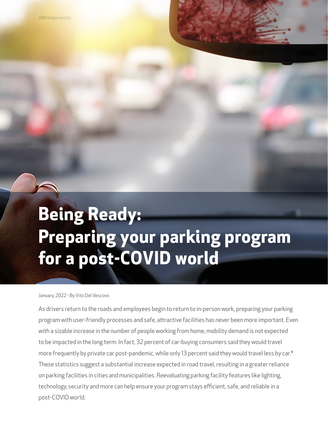# **Being Ready: Preparing your parking program for a post-COVID world**

 $\mathcal{L}$ 

January, 2022 - By Vito Del Vescovo

As drivers return to the roads and employees begin to return to in-person work, preparing your parking program with user-friendly processes and safe, attractive facilities has never been more important. Even with a sizable increase in the number of people working from home, mobility demand is not expected to be impacted in the long term. In fact, 32 percent of car-buying consumers said they would travel more frequently by private car post-pandemic, while only 13 percent said they would travel less by car.<sup>1</sup> These statistics suggest a substantial increase expected in road travel, resulting in a greater reliance on parking facilities in cities and municipalities. Reevaluating parking facility features like lighting, technology, security and more can help ensure your program stays efficient, safe, and reliable in a post-COVID world.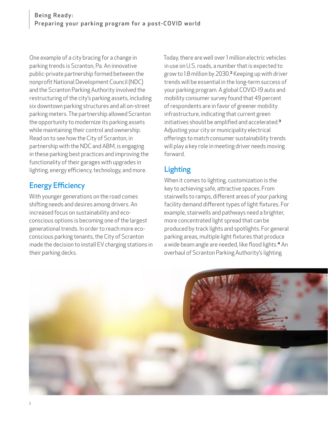One example of a city bracing for a change in parking trends is Scranton, Pa. An innovative public-private partnership formed between the nonprofit National Development Council (NDC) and the Scranton Parking Authority involved the restructuring of the city's parking assets, including six downtown parking structures and all on-street parking meters. The partnership allowed Scranton the opportunity to modernize its parking assets while maintaining their control and ownership. Read on to see how the City of Scranton, in partnership with the NDC and ABM, is engaging in these parking best practices and improving the functionality of their garages with upgrades in lighting, energy efficiency, technology, and more.

## Energy Efficiency

With younger generations on the road comes shifting needs and desires among drivers. An increased focus on sustainability and ecoconscious options is becoming one of the largest generational trends. In order to reach more ecoconscious parking tenants, the City of Scranton made the decision to install EV charging stations in their parking decks.

Today, there are well over 1 million electric vehicles in use on U.S. roads, a number that is expected to grow to 1.8 million by 2030.² Keeping up with driver trends will be essential in the long-term success of your parking program. A global COVID-19 auto and mobility consumer survey found that 49 percent of respondents are in favor of greener mobility infrastructure, indicating that current green initiatives should be amplified and accelerated.<sup>3</sup> Adjusting your city or municipality electrical offerings to match consumer sustainability trends will play a key role in meeting driver needs moving forward.

# Lighting

When it comes to lighting, customization is the key to achieving safe, attractive spaces. From stairwells to ramps, different areas of your parking facility demand different types of light fixtures. For example, stairwells and pathways need a brighter, more concentrated light spread that can be produced by track lights and spotlights. For general parking areas, multiple light fixtures that produce a wide beam angle are needed, like flood lights.<sup>4</sup> An overhaul of Scranton Parking Authority's lighting

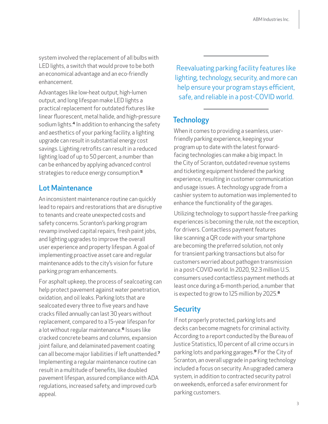system involved the replacement of all bulbs with LED lights, a switch that would prove to be both an economical advantage and an eco-friendly enhancement.

Advantages like low-heat output, high-lumen output, and long lifespan make LED lights a practical replacement for outdated fixtures like linear fluorescent, metal halide, and high-pressure sodium lights.<sup>4</sup> In addition to enhancing the safety and aesthetics of your parking facility, a lighting upgrade can result in substantial energy cost savings. Lighting retrofits can result in a reduced lighting load of up to 50 percent, a number than can be enhanced by applying advanced control strategies to reduce energy consumption.<sup>5</sup>

#### Lot Maintenance

An inconsistent maintenance routine can quickly lead to repairs and restorations that are disruptive to tenants and create unexpected costs and safety concerns. Scranton's parking program revamp involved capital repairs, fresh paint jobs, and lighting upgrades to improve the overall user experience and property lifespan. A goal of implementing proactive asset care and regular maintenance adds to the city's vision for future parking program enhancements.

For asphalt upkeep, the process of sealcoating can help protect pavement against water penetration, oxidation, and oil leaks. Parking lots that are sealcoated every three to five years and have cracks filled annually can last 30 years without replacement, compared to a 15-year lifespan for a lot without regular maintenance.<sup>6</sup> Issues like cracked concrete beams and columns, expansion joint failure, and delaminated pavement coating can all become major liabilities if left unattended.<sup>7</sup> Implementing a regular maintenance routine can result in a multitude of benefits, like doubled pavement lifespan, assured compliance with ADA regulations, increased safety, and improved curb appeal.

Reevaluating parking facility features like lighting, technology, security, and more can help ensure your program stays efficient, safe, and reliable in a post-COVID world.

### **Technology**

When it comes to providing a seamless, userfriendly parking experience, keeping your program up to date with the latest forwardfacing technologies can make a big impact. In the City of Scranton, outdated revenue systems and ticketing equipment hindered the parking experience, resulting in customer communication and usage issues. A technology upgrade from a cashier system to automation was implemented to enhance the functionality of the garages.

Utilizing technology to support hassle-free parking experiences is becoming the rule, not the exception, for drivers. Contactless payment features like scanning a QR code with your smartphone are becoming the preferred solution, not only for transient parking transactions but also for customers worried about pathogen transmission in a post-COVID world. In 2020, 92.3 million U.S. consumers used contactless payment methods at least once during a 6-month period, a number that is expected to grow to 125 million by 2025.<sup>8</sup>

#### **Security**

If not properly protected, parking lots and decks can become magnets for criminal activity. According to a report conducted by the Bureau of Justice Statistics, 10 percent of all crime occurs in parking lots and parking garages.⁹ For the City of Scranton, an overall upgrade in parking technology included a focus on security. An upgraded camera system, in addition to contracted security patrol on weekends, enforced a safer environment for parking customers.